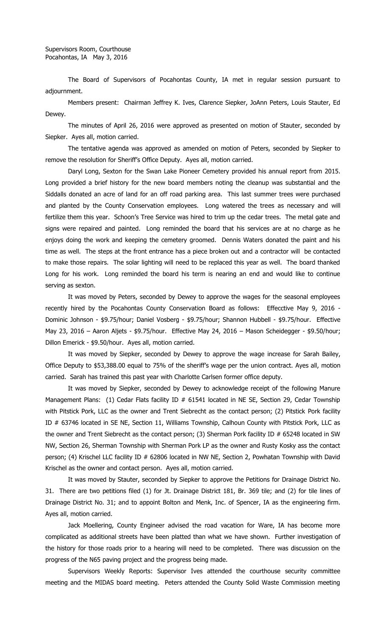The Board of Supervisors of Pocahontas County, IA met in regular session pursuant to adjournment.

Members present: Chairman Jeffrey K. Ives, Clarence Siepker, JoAnn Peters, Louis Stauter, Ed Dewey.

The minutes of April 26, 2016 were approved as presented on motion of Stauter, seconded by Siepker. Ayes all, motion carried.

The tentative agenda was approved as amended on motion of Peters, seconded by Siepker to remove the resolution for Sheriff's Office Deputy. Ayes all, motion carried.

Daryl Long, Sexton for the Swan Lake Pioneer Cemetery provided his annual report from 2015. Long provided a brief history for the new board members noting the cleanup was substantial and the Siddalls donated an acre of land for an off road parking area. This last summer trees were purchased and planted by the County Conservation employees. Long watered the trees as necessary and will fertilize them this year. Schoon's Tree Service was hired to trim up the cedar trees. The metal gate and signs were repaired and painted. Long reminded the board that his services are at no charge as he enjoys doing the work and keeping the cemetery groomed. Dennis Waters donated the paint and his time as well. The steps at the front entrance has a piece broken out and a contractor will be contacted to make those repairs. The solar lighting will need to be replaced this year as well. The board thanked Long for his work. Long reminded the board his term is nearing an end and would like to continue serving as sexton.

It was moved by Peters, seconded by Dewey to approve the wages for the seasonal employees recently hired by the Pocahontas County Conservation Board as follows: Effecctive May 9, 2016 - Dominic Johnson - \$9.75/hour; Daniel Vosberg - \$9.75/hour; Shannon Hubbell - \$9.75/hour. Effective May 23, 2016 – Aaron Aljets - \$9.75/hour. Effective May 24, 2016 – Mason Scheidegger - \$9.50/hour; Dillon Emerick - \$9.50/hour. Ayes all, motion carried.

It was moved by Siepker, seconded by Dewey to approve the wage increase for Sarah Bailey, Office Deputy to \$53,388.00 equal to 75% of the sheriff's wage per the union contract. Ayes all, motion carried. Sarah has trained this past year with Charlotte Carlsen former office deputy.

It was moved by Siepker, seconded by Dewey to acknowledge receipt of the following Manure Management Plans: (1) Cedar Flats facility ID # 61541 located in NE SE, Section 29, Cedar Township with Pitstick Pork, LLC as the owner and Trent Siebrecht as the contact person; (2) Pitstick Pork facility ID # 63746 located in SE NE, Section 11, Williams Township, Calhoun County with Pitstick Pork, LLC as the owner and Trent Siebrecht as the contact person; (3) Sherman Pork facility ID # 65248 located in SW NW, Section 26, Sherman Township with Sherman Pork LP as the owner and Rusty Kosky ass the contact person; (4) Krischel LLC facility ID # 62806 located in NW NE, Section 2, Powhatan Township with David Krischel as the owner and contact person. Ayes all, motion carried.

It was moved by Stauter, seconded by Siepker to approve the Petitions for Drainage District No. 31. There are two petitions filed (1) for Jt. Drainage District 181, Br. 369 tile; and (2) for tile lines of Drainage District No. 31; and to appoint Bolton and Menk, Inc. of Spencer, IA as the engineering firm. Ayes all, motion carried.

Jack Moellering, County Engineer advised the road vacation for Ware, IA has become more complicated as additional streets have been platted than what we have shown. Further investigation of the history for those roads prior to a hearing will need to be completed. There was discussion on the progress of the N65 paving project and the progress being made.

Supervisors Weekly Reports: Supervisor Ives attended the courthouse security committee meeting and the MIDAS board meeting. Peters attended the County Solid Waste Commission meeting